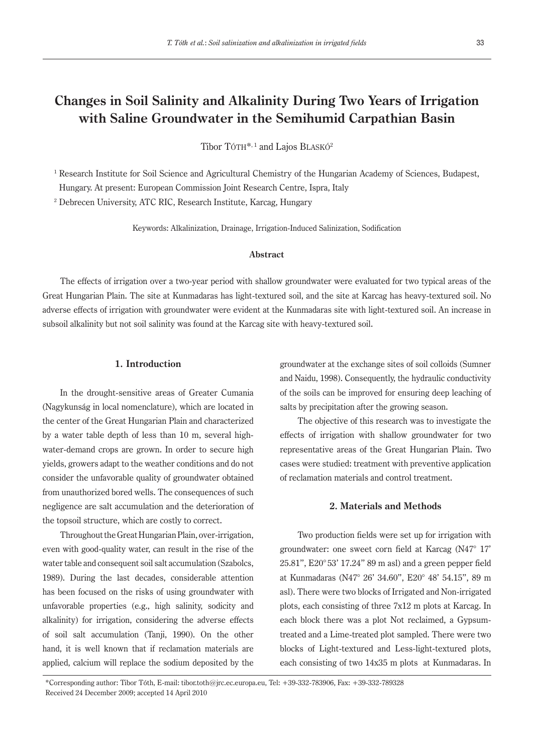# **Changes in Soil Salinity and Alkalinity During Two Years of Irrigation with Saline Groundwater in the Semihumid Carpathian Basin**

Tibor TÓTH<sup>\*, 1</sup> and Lajos BLASKÓ<sup>2</sup>

<sup>1</sup> Research Institute for Soil Science and Agricultural Chemistry of the Hungarian Academy of Sciences, Budapest, Hungary. At present: European Commission Joint Research Centre, Ispra, Italy

2 Debrecen University, ATC RIC, Research Institute, Karcag, Hungary

Keywords: Alkalinization, Drainage, Irrigation-Induced Salinization, Sodification

### **Abstract**

The effects of irrigation over a two-year period with shallow groundwater were evaluated for two typical areas of the Great Hungarian Plain. The site at Kunmadaras has light-textured soil, and the site at Karcag has heavy-textured soil. No adverse effects of irrigation with groundwater were evident at the Kunmadaras site with light-textured soil. An increase in subsoil alkalinity but not soil salinity was found at the Karcag site with heavy-textured soil.

## **1. Introduction**

In the drought-sensitive areas of Greater Cumania (Nagykunság in local nomenclature), which are located in the center of the Great Hungarian Plain and characterized by a water table depth of less than 10 m, several highwater-demand crops are grown. In order to secure high yields, growers adapt to the weather conditions and do not consider the unfavorable quality of groundwater obtained from unauthorized bored wells. The consequences of such negligence are salt accumulation and the deterioration of the topsoil structure, which are costly to correct.

Throughout the Great Hungarian Plain, over-irrigation, even with good-quality water, can result in the rise of the water table and consequent soil salt accumulation (Szabolcs, 1989). During the last decades, considerable attention has been focused on the risks of using groundwater with unfavorable properties (e.g., high salinity, sodicity and alkalinity) for irrigation, considering the adverse effects of soil salt accumulation (Tanji, 1990). On the other hand, it is well known that if reclamation materials are applied, calcium will replace the sodium deposited by the groundwater at the exchange sites of soil colloids (Sumner and Naidu, 1998). Consequently, the hydraulic conductivity of the soils can be improved for ensuring deep leaching of salts by precipitation after the growing season.

The objective of this research was to investigate the effects of irrigation with shallow groundwater for two representative areas of the Great Hungarian Plain. Two cases were studied: treatment with preventive application of reclamation materials and control treatment.

## **2. Materials and Methods**

Two production fields were set up for irrigation with groundwater: one sweet corn field at Karcag (N47° 17' 25.81", E20° 53' 17.24" 89 m asl) and a green pepper field at Kunmadaras (N47° 26' 34.60", E20° 48' 54.15", 89 m asl). There were two blocks of Irrigated and Non-irrigated plots, each consisting of three 7x12 m plots at Karcag. In each block there was a plot Not reclaimed, a Gypsumtreated and a Lime-treated plot sampled. There were two blocks of Light-textured and Less-light-textured plots, each consisting of two 14x35 m plots at Kunmadaras. In

\*Corresponding author: Tibor Tóth, E-mail: tibor.toth@jrc.ec.europa.eu, Tel: +39-332-783906, Fax: +39-332-789328 Received 24 December 2009; accepted 14 April 2010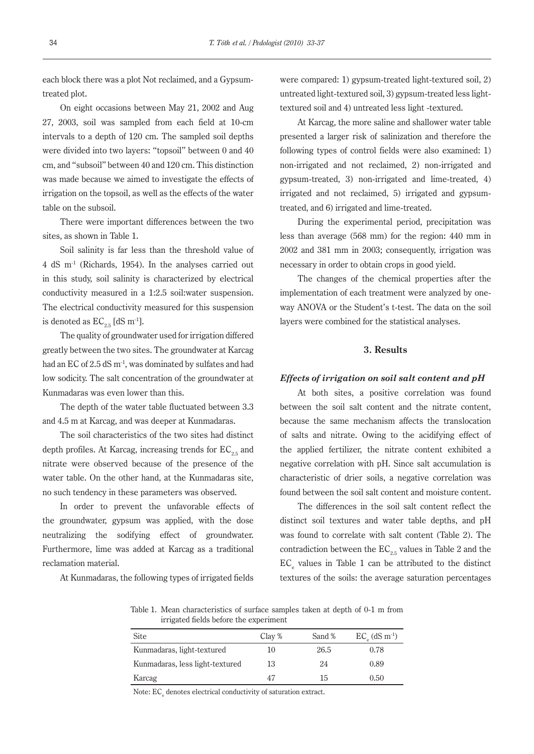each block there was a plot Not reclaimed, and a Gypsumtreated plot.

On eight occasions between May 21, 2002 and Aug 27, 2003, soil was sampled from each field at 10-cm intervals to a depth of 120 cm. The sampled soil depths were divided into two layers: "topsoil" between 0 and 40 cm, and "subsoil" between 40 and 120 cm. This distinction was made because we aimed to investigate the effects of irrigation on the topsoil, as well as the effects of the water table on the subsoil.

There were important differences between the two sites, as shown in Table 1.

Soil salinity is far less than the threshold value of 4 dS m-1 (Richards, 1954). In the analyses carried out in this study, soil salinity is characterized by electrical conductivity measured in a 1:2.5 soil:water suspension. The electrical conductivity measured for this suspension is denoted as  $EC_{2.5}$  [dS m<sup>-1</sup>].

The quality of groundwater used for irrigation differed greatly between the two sites. The groundwater at Karcag had an EC of 2.5 dS m<sup>-1</sup>, was dominated by sulfates and had low sodicity. The salt concentration of the groundwater at Kunmadaras was even lower than this.

The depth of the water table fluctuated between 3.3 and 4.5 m at Karcag, and was deeper at Kunmadaras.

The soil characteristics of the two sites had distinct depth profiles. At Karcag, increasing trends for  $EC_{2.5}$  and nitrate were observed because of the presence of the water table. On the other hand, at the Kunmadaras site, no such tendency in these parameters was observed.

In order to prevent the unfavorable effects of the groundwater, gypsum was applied, with the dose neutralizing the sodifying effect of groundwater. Furthermore, lime was added at Karcag as a traditional reclamation material.

At Kunmadaras, the following types of irrigated fields

were compared: 1) gypsum-treated light-textured soil, 2) untreated light-textured soil, 3) gypsum-treated less lighttextured soil and 4) untreated less light -textured.

At Karcag, the more saline and shallower water table presented a larger risk of salinization and therefore the following types of control fields were also examined: 1) non-irrigated and not reclaimed, 2) non-irrigated and gypsum-treated, 3) non-irrigated and lime-treated, 4) irrigated and not reclaimed, 5) irrigated and gypsumtreated, and 6) irrigated and lime-treated.

During the experimental period, precipitation was less than average (568 mm) for the region: 440 mm in 2002 and 381 mm in 2003; consequently, irrigation was necessary in order to obtain crops in good yield.

The changes of the chemical properties after the implementation of each treatment were analyzed by oneway ANOVA or the Student's t-test. The data on the soil layers were combined for the statistical analyses.

## **3. Results**

### *Effects of irrigation on soil salt content and pH*

At both sites, a positive correlation was found between the soil salt content and the nitrate content, because the same mechanism affects the translocation of salts and nitrate. Owing to the acidifying effect of the applied fertilizer, the nitrate content exhibited a negative correlation with pH. Since salt accumulation is characteristic of drier soils, a negative correlation was found between the soil salt content and moisture content.

The differences in the soil salt content reflect the distinct soil textures and water table depths, and pH was found to correlate with salt content (Table 2). The contradiction between the  $EC_{2.5}$  values in Table 2 and the  $EC_e$  values in Table 1 can be attributed to the distinct textures of the soils: the average saturation percentages

Table 1. Mean characteristics of surface samples taken at depth of 0-1 m from irrigated fields before the experiment

| Site                            | Clay % | Sand % | $EC_{\rho}$ (dS m <sup>-1</sup> ) |
|---------------------------------|--------|--------|-----------------------------------|
| Kunmadaras, light-textured      | 10     | 26.5   | 0.78                              |
| Kunmadaras, less light-textured | 13     | 24     | 0.89                              |
| Karcag                          | 47     | 15     | 0.50                              |

Note: EC<sub>e</sub> denotes electrical conductivity of saturation extract.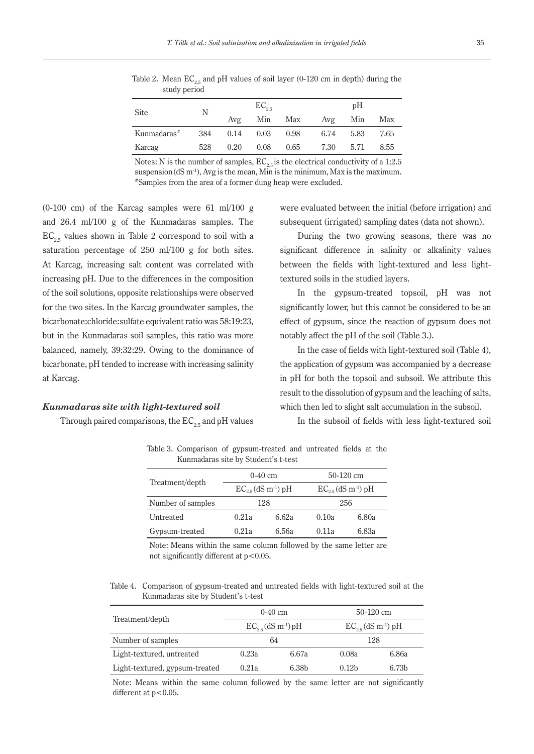Table 2. Mean  $EC_{2.5}$  and pH values of soil layer (0-120 cm in depth) during the study period

| Site                    | Ν   |      | $EC_{2.5}$ |      |      | pH   |      |  |
|-------------------------|-----|------|------------|------|------|------|------|--|
|                         |     | Avg  | Min        | Max  | Avg  | Min  | Max  |  |
| Kunmadaras <sup>#</sup> | 384 | 0.14 | 0.03       | 0.98 | 6.74 | 5.83 | 7.65 |  |
| Karcag                  | 528 | 0.20 | 0.08       | 0.65 | 7.30 | 5.71 | 8.55 |  |

Notes: N is the number of samples,  $EC_{2.5}$  is the electrical conductivity of a 1:2.5 suspension (dS m<sup>-1</sup>), Avg is the mean, Min is the minimum, Max is the maximum.  $*$ Samples from the area of a former dung heap were excluded.

 $(0-100 \text{ cm})$  of the Karcag samples were 61 ml/100 g and 26.4 ml/100 g of the Kunmadaras samples. The  $EC_{2.5}$  values shown in Table 2 correspond to soil with a saturation percentage of 250 ml/100 g for both sites. At Karcag, increasing salt content was correlated with increasing pH. Due to the differences in the composition of the soil solutions, opposite relationships were observed for the two sites. In the Karcag groundwater samples, the bicarbonate:chloride:sulfate equivalent ratio was 58:19:23, but in the Kunmadaras soil samples, this ratio was more balanced, namely, 39:32:29. Owing to the dominance of bicarbonate, pH tended to increase with increasing salinity at Karcag.

#### *Kunmadaras site with light-textured soil*

Through paired comparisons, the  $EC_{2.5}$  and pH values

were evaluated between the initial (before irrigation) and subsequent (irrigated) sampling dates (data not shown).

During the two growing seasons, there was no significant difference in salinity or alkalinity values between the fields with light-textured and less lighttextured soils in the studied layers.

In the gypsum-treated topsoil, pH was not significantly lower, but this cannot be considered to be an effect of gypsum, since the reaction of gypsum does not notably affect the pH of the soil (Table 3.).

In the case of fields with light-textured soil (Table 4), the application of gypsum was accompanied by a decrease in pH for both the topsoil and subsoil. We attribute this result to the dissolution of gypsum and the leaching of salts, which then led to slight salt accumulation in the subsoil.

In the subsoil of fields with less light-textured soil

Table 3. Comparison of gypsum-treated and untreated fields at the Kunmadaras site by Student's t-test

|                   |                                    | $0-40$ cm | $50-120$ cm                        |       |
|-------------------|------------------------------------|-----------|------------------------------------|-------|
| Treatment/depth   | $EC_{25}$ (dS m <sup>-1</sup> ) pH |           | $EC_{25}$ (dS m <sup>-1</sup> ) pH |       |
| Number of samples | 128                                |           | 256                                |       |
| Untreated         | 6.62a<br>0.21a                     |           | 0.10a                              | 6.80a |
| Gypsum-treated    | 0.21a                              | 6.56a     | 0.11a                              | 6.83a |

Note: Means within the same column followed by the same letter are not significantly different at  $p<0.05$ .

Table 4. Comparison of gypsum-treated and untreated fields with light-textured soil at the Kunmadaras site by Student's t-test

| Treatment/depth                |                                    | $0-40$ cm | $50-120$ cm                          |                   |
|--------------------------------|------------------------------------|-----------|--------------------------------------|-------------------|
|                                | $EC_{25}$ (dS m <sup>-1</sup> ) pH |           | $EC_{2\pi}$ (dS m <sup>-1</sup> ) pH |                   |
| Number of samples              | 64                                 |           |                                      | 128               |
| Light-textured, untreated      | 0.23a                              | 6.67a     | 0.08a                                | 6.86a             |
| Light-textured, gypsum-treated | 0.21a                              | 6.38b     | 0.12 <sub>b</sub>                    | 6.73 <sub>b</sub> |

Note: Means within the same column followed by the same letter are not significantly different at  $p<0.05$ .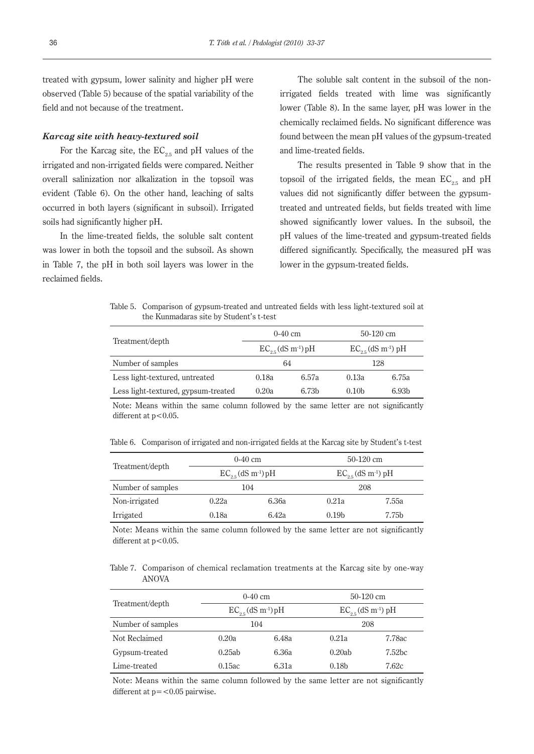treated with gypsum, lower salinity and higher pH were observed (Table 5) because of the spatial variability of the field and not because of the treatment.

## *Karcag site with heavy-textured soil*

For the Karcag site, the  $EC_{2.5}$  and pH values of the irrigated and non-irrigated fields were compared. Neither overall salinization nor alkalization in the topsoil was evident (Table 6). On the other hand, leaching of salts occurred in both layers (significant in subsoil). Irrigated soils had significantly higher pH.

In the lime-treated fields, the soluble salt content was lower in both the topsoil and the subsoil. As shown in Table 7, the pH in both soil layers was lower in the reclaimed fields.

The soluble salt content in the subsoil of the nonirrigated fields treated with lime was significantly lower (Table 8). In the same layer, pH was lower in the chemically reclaimed fields. No significant difference was found between the mean pH values of the gypsum-treated and lime-treated fields.

The results presented in Table 9 show that in the topsoil of the irrigated fields, the mean  $EC_{2.5}$  and pH values did not significantly differ between the gypsumtreated and untreated fields, but fields treated with lime showed significantly lower values. In the subsoil, the pH values of the lime-treated and gypsum-treated fields differed significantly. Specifically, the measured pH was lower in the gypsum-treated fields.

Table 5. Comparison of gypsum-treated and untreated fields with less light-textured soil at the Kunmadaras site by Student's t-test

| Treatment/depth                     | $0-40$ cm                          |                   | $50-120$ cm                        |                   |
|-------------------------------------|------------------------------------|-------------------|------------------------------------|-------------------|
|                                     | $EC_{25}$ (dS m <sup>-1</sup> ) pH |                   | $EC_{25}$ (dS m <sup>-1</sup> ) pH |                   |
| Number of samples                   |                                    | 64                |                                    | 128               |
| Less light-textured, untreated      | 0.18a                              | 6.57а             | 0.13a                              | 6.75а             |
| Less light-textured, gypsum-treated | 0.20a                              | 6.73 <sub>b</sub> | 0.10 <sub>b</sub>                  | 6.93 <sub>b</sub> |
|                                     |                                    |                   |                                    |                   |

Note: Means within the same column followed by the same letter are not significantly different at  $p < 0.05$ .

Table 6. Comparison of irrigated and non-irrigated fields at the Karcag site by Student's t-test

| Treatment/depth   | $0-40$ cm                          |       | $50-120$ cm                        |       |
|-------------------|------------------------------------|-------|------------------------------------|-------|
|                   | $EC_{25}$ (dS m <sup>-1</sup> ) pH |       | $EC_{25}$ (dS m <sup>-1</sup> ) pH |       |
| Number of samples | 104                                |       | 208                                |       |
| Non-irrigated     | 0.22a                              | 6.36a | 0.21a                              | 7.55a |
| Irrigated         | 0.18a                              | 6.42a | 0.19 <sub>b</sub>                  | 7.75b |

Note: Means within the same column followed by the same letter are not significantly different at p<0.05.

Table 7. Comparison of chemical reclamation treatments at the Karcag site by one-way ANOVA

| Treatment/depth   | $0-40$ cm |                                     | $50-120$ cm       |                                    |
|-------------------|-----------|-------------------------------------|-------------------|------------------------------------|
|                   |           | $EC_{2.5}$ (dS m <sup>-1</sup> ) pH |                   | $EC_{25}$ (dS m <sup>-1</sup> ) pH |
| Number of samples | 104       |                                     | 208               |                                    |
| Not Reclaimed     | 0.20a     | 6.48a                               | 0.21a             | 7.78ac                             |
| Gypsum-treated    | 0.25ab    | 6.36а                               | 0.20ab            | 7.52 <sub>bc</sub>                 |
| Lime-treated      | 0.15ac    | 6.31а                               | 0.18 <sub>b</sub> | 7.62c                              |

Note: Means within the same column followed by the same letter are not significantly different at  $p = < 0.05$  pairwise.